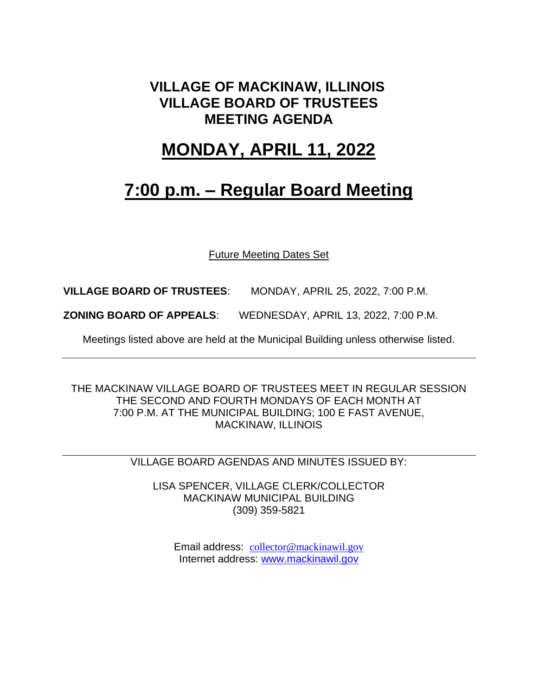## **VILLAGE OF MACKINAW, ILLINOIS VILLAGE BOARD OF TRUSTEES MEETING AGENDA**

## **MONDAY, APRIL 11, 2022**

## **7:00 p.m. – Regular Board Meeting**

Future Meeting Dates Set

**VILLAGE BOARD OF TRUSTEES**: MONDAY, APRIL 25, 2022, 7:00 P.M.

**ZONING BOARD OF APPEALS**: WEDNESDAY, APRIL 13, 2022, 7:00 P.M.

Meetings listed above are held at the Municipal Building unless otherwise listed.

THE MACKINAW VILLAGE BOARD OF TRUSTEES MEET IN REGULAR SESSION THE SECOND AND FOURTH MONDAYS OF EACH MONTH AT 7:00 P.M. AT THE MUNICIPAL BUILDING; 100 E FAST AVENUE, MACKINAW, ILLINOIS

VILLAGE BOARD AGENDAS AND MINUTES ISSUED BY:

LISA SPENCER, VILLAGE CLERK/COLLECTOR MACKINAW MUNICIPAL BUILDING (309) 359-5821

Email address: [collector@mackinawil.gov](mailto:collector@mackinawil.gov) Internet address: [www.mackinawil.gov](http://www.mackinawil.gov/)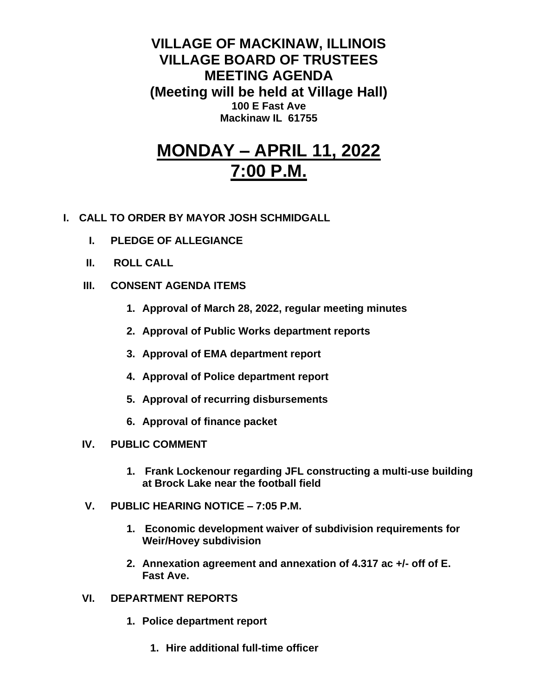**VILLAGE OF MACKINAW, ILLINOIS VILLAGE BOARD OF TRUSTEES MEETING AGENDA (Meeting will be held at Village Hall) 100 E Fast Ave Mackinaw IL 61755**

## **MONDAY – APRIL 11, 2022 7:00 P.M.**

- **I. CALL TO ORDER BY MAYOR JOSH SCHMIDGALL**
	- **I. PLEDGE OF ALLEGIANCE**
	- **II. ROLL CALL**
	- **III. CONSENT AGENDA ITEMS** 
		- **1. Approval of March 28, 2022, regular meeting minutes**
		- **2. Approval of Public Works department reports**
		- **3. Approval of EMA department report**
		- **4. Approval of Police department report**
		- **5. Approval of recurring disbursements**
		- **6. Approval of finance packet**
	- **IV. PUBLIC COMMENT**
		- **1. Frank Lockenour regarding JFL constructing a multi-use building at Brock Lake near the football field**
	- **V. PUBLIC HEARING NOTICE – 7:05 P.M.** 
		- **1. Economic development waiver of subdivision requirements for Weir/Hovey subdivision**
		- **2. Annexation agreement and annexation of 4.317 ac +/- off of E. Fast Ave.**
	- **VI. DEPARTMENT REPORTS** 
		- **1. Police department report**
			- **1. Hire additional full-time officer**